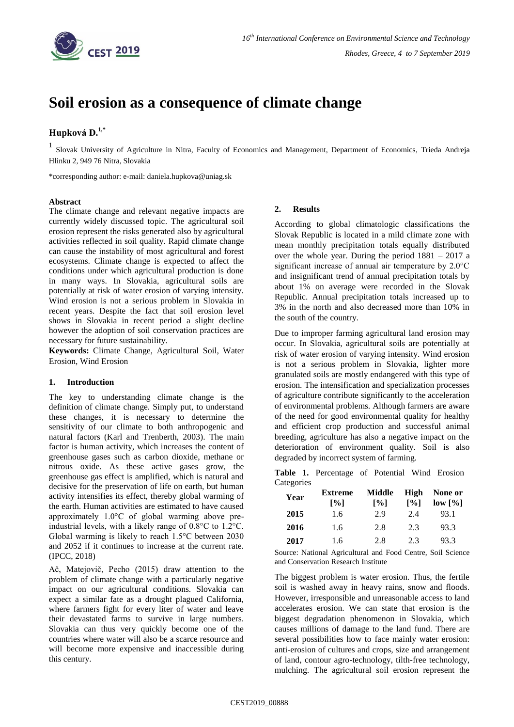

# **Soil erosion as a consequence of climate change**

# **Hupková D.1,\***

<sup>1</sup> Slovak University of Agriculture in Nitra, Faculty of Economics and Management, Department of Economics, Trieda Andreja Hlinku 2, 949 76 Nitra, Slovakia

\*corresponding author: e-mail: daniela.hupkova@uniag.sk

#### **Abstract**

The climate change and relevant negative impacts are currently widely discussed topic. The agricultural soil erosion represent the risks generated also by agricultural activities reflected in soil quality. Rapid climate change can cause the instability of most agricultural and forest ecosystems. Climate change is expected to affect the conditions under which agricultural production is done in many ways. In Slovakia, agricultural soils are potentially at risk of water erosion of varying intensity. Wind erosion is not a serious problem in Slovakia in recent years. Despite the fact that soil erosion level shows in Slovakia in recent period a slight decline however the adoption of soil conservation practices are necessary for future sustainability.

**Keywords:** Climate Change, Agricultural Soil, Water Erosion, Wind Erosion

#### **1. Introduction**

The key to understanding climate change is the definition of climate change. Simply put, to understand these changes, it is necessary to determine the sensitivity of our climate to both anthropogenic and natural factors (Karl and Trenberth, 2003). The main factor is human activity, which increases the content of greenhouse gases such as carbon dioxide, methane or nitrous oxide. As these active gases grow, the greenhouse gas effect is amplified, which is natural and decisive for the preservation of life on earth, but human activity intensifies its effect, thereby global warming of the earth. Human activities are estimated to have caused approximately 1.0°C of global warming above preindustrial levels, with a likely range of 0.8°C to 1.2°C. Global warming is likely to reach 1.5°C between 2030 and 2052 if it continues to increase at the current rate. (IPCC, 2018)

Ač, Matejovič, Pecho (2015) draw attention to the problem of climate change with a particularly negative impact on our agricultural conditions. Slovakia can expect a similar fate as a drought plagued California, where farmers fight for every liter of water and leave their devastated farms to survive in large numbers. Slovakia can thus very quickly become one of the countries where water will also be a scarce resource and will become more expensive and inaccessible during this century.

## **2. Results**

According to global climatologic classifications the Slovak Republic is located in a mild climate zone with mean monthly precipitation totals equally distributed over the whole year. During the period 1881 – 2017 a significant increase of annual air temperature by 2.0°C and insignificant trend of annual precipitation totals by about 1% on average were recorded in the Slovak Republic. Annual precipitation totals increased up to 3% in the north and also decreased more than 10% in the south of the country.

Due to improper farming agricultural land erosion may occur. In Slovakia, agricultural soils are potentially at risk of water erosion of varying intensity. Wind erosion is not a serious problem in Slovakia, lighter more granulated soils are mostly endangered with this type of erosion. The intensification and specialization processes of agriculture contribute significantly to the acceleration of environmental problems. Although farmers are aware of the need for good environmental quality for healthy and efficient crop production and successful animal breeding, agriculture has also a negative impact on the deterioration of environment quality. Soil is also degraded by incorrect system of farming.

**Table 1.** Percentage of Potential Wind Erosion **Categories** 

| Year | <b>Extreme</b>              | Middle                      | High                        | None or |
|------|-----------------------------|-----------------------------|-----------------------------|---------|
|      | $\lceil \sqrt[9]{6} \rceil$ | $\lceil \frac{9}{6} \rceil$ | $\lceil \frac{9}{6} \rceil$ | low [%] |
| 2015 | 1.6                         | 2.9                         | 2.4                         | 93.1    |
| 2016 | 1.6                         | 2.8                         | 2.3                         | 93.3    |
| 2017 | 1.6                         | 2.8                         | 2.3                         | 93.3    |

Source: National Agricultural and Food Centre, Soil Science and Conservation Research Institute

The biggest problem is water erosion. Thus, the fertile soil is washed away in heavy rains, snow and floods. However, irresponsible and unreasonable access to land accelerates erosion. We can state that erosion is the biggest degradation phenomenon in Slovakia, which causes millions of damage to the land fund. There are several possibilities how to face mainly water erosion: anti-erosion of cultures and crops, size and arrangement of land, contour agro-technology, tilth-free technology, mulching. The agricultural soil erosion represent the